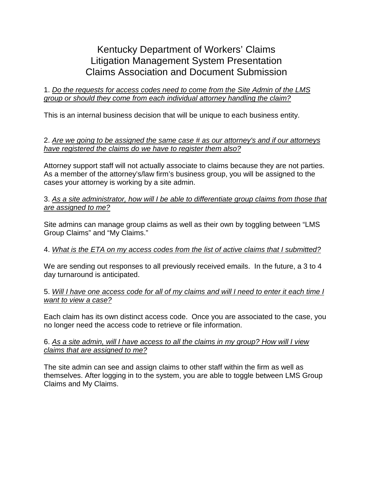# Kentucky Department of Workers' Claims Litigation Management System Presentation Claims Association and Document Submission

#### 1. *Do the requests for access codes need to come from the Site Admin of the LMS group or should they come from each individual attorney handling the claim?*

This is an internal business decision that will be unique to each business entity.

#### 2. *Are we going to be assigned the same case # as our attorney's and if our attorneys have registered the claims do we have to register them also?*

Attorney support staff will not actually associate to claims because they are not parties. As a member of the attorney's/law firm's business group, you will be assigned to the cases your attorney is working by a site admin.

#### 3. *As a site administrator, how will I be able to differentiate group claims from those that are assigned to me?*

Site admins can manage group claims as well as their own by toggling between "LMS Group Claims" and "My Claims."

### 4. *What is the ETA on my access codes from the list of active claims that I submitted?*

We are sending out responses to all previously received emails. In the future, a 3 to 4 day turnaround is anticipated.

5. *Will I have one access code for all of my claims and will I need to enter it each time I want to view a case?*

Each claim has its own distinct access code. Once you are associated to the case, you no longer need the access code to retrieve or file information.

#### 6. *As a site admin, will I have access to all the claims in my group? How will I view claims that are assigned to me?*

The site admin can see and assign claims to other staff within the firm as well as themselves. After logging in to the system, you are able to toggle between LMS Group Claims and My Claims.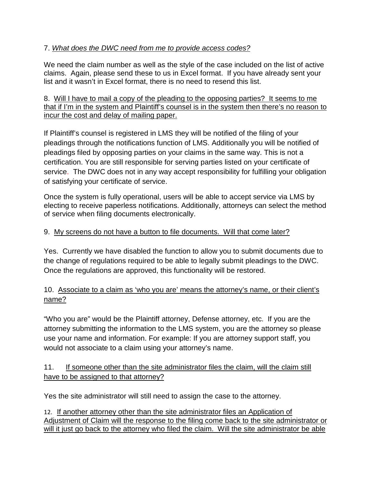## 7. *What does the DWC need from me to provide access codes?*

We need the claim number as well as the style of the case included on the list of active claims. Again, please send these to us in Excel format. If you have already sent your list and it wasn't in Excel format, there is no need to resend this list.

### 8. Will I have to mail a copy of the pleading to the opposing parties? It seems to me that if I'm in the system and Plaintiff's counsel is in the system then there's no reason to incur the cost and delay of mailing paper.

If Plaintiff's counsel is registered in LMS they will be notified of the filing of your pleadings through the notifications function of LMS. Additionally you will be notified of pleadings filed by opposing parties on your claims in the same way. This is not a certification. You are still responsible for serving parties listed on your certificate of service. The DWC does not in any way accept responsibility for fulfilling your obligation of satisfying your certificate of service.

Once the system is fully operational, users will be able to accept service via LMS by electing to receive paperless notifications. Additionally, attorneys can select the method of service when filing documents electronically.

# 9. My screens do not have a button to file documents. Will that come later?

Yes. Currently we have disabled the function to allow you to submit documents due to the change of regulations required to be able to legally submit pleadings to the DWC. Once the regulations are approved, this functionality will be restored.

## 10. Associate to a claim as 'who you are' means the attorney's name, or their client's name?

"Who you are" would be the Plaintiff attorney, Defense attorney, etc. If you are the attorney submitting the information to the LMS system, you are the attorney so please use your name and information. For example: If you are attorney support staff, you would not associate to a claim using your attorney's name.

## 11. If someone other than the site administrator files the claim, will the claim still have to be assigned to that attorney?

Yes the site administrator will still need to assign the case to the attorney.

12. If another attorney other than the site administrator files an Application of Adjustment of Claim will the response to the filing come back to the site administrator or will it just go back to the attorney who filed the claim. Will the site administrator be able